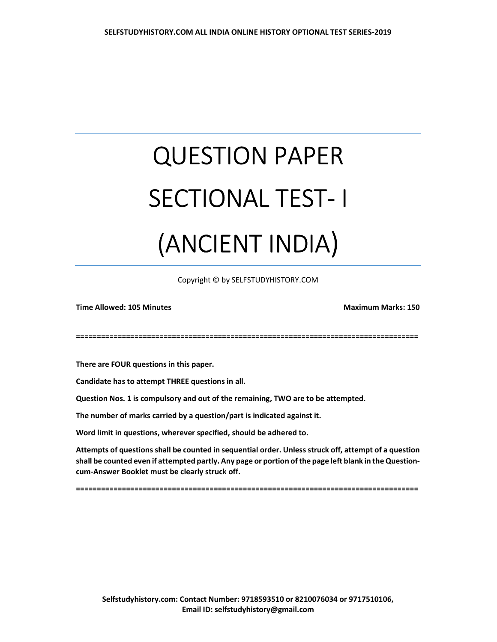## QUESTION PAPER SECTIONAL TEST- I (ANCIENT INDIA)

Copyright © by SELFSTUDYHISTORY.COM

Time Allowed: 105 Minutes Maximum Marks: 150

==================================================================================

There are FOUR questions in this paper.

Candidate has to attempt THREE questions in all.

Question Nos. 1 is compulsory and out of the remaining, TWO are to be attempted.

The number of marks carried by a question/part is indicated against it.

Word limit in questions, wherever specified, should be adhered to.

Attempts of questions shall be counted in sequential order. Unless struck off, attempt of a question shall be counted even if attempted partly. Any page or portion of the page left blank in the Questioncum-Answer Booklet must be clearly struck off.

==================================================================================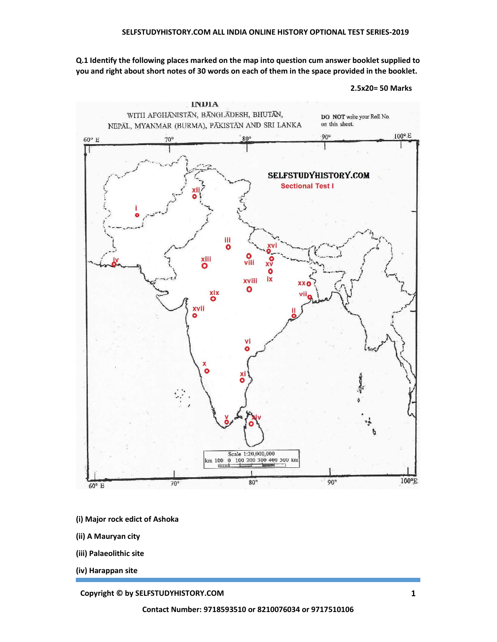Q.1 Identify the following places marked on the map into question cum answer booklet supplied to you and right about short notes of 30 words on each of them in the space provided in the booklet.

<sup>2.5</sup>x20= 50 Marks



- (i) Major rock edict of Ashoka
- (ii) A Mauryan city
- (iii) Palaeolithic site
- (iv) Harappan site

## **Copyright © by SELFSTUDYHISTORY.COM** 1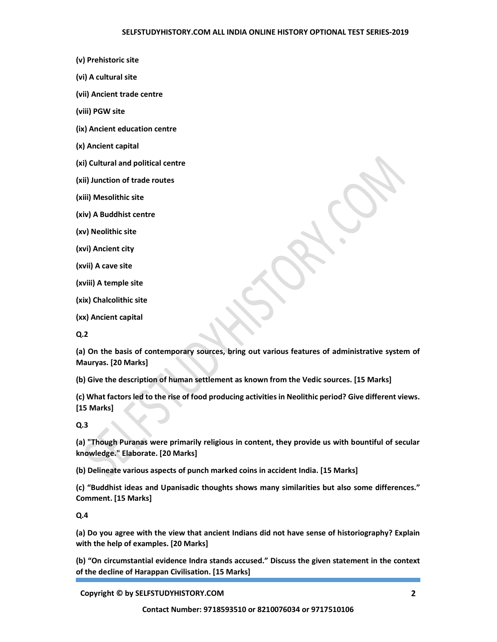- (v) Prehistoric site
- (vi) A cultural site
- (vii) Ancient trade centre
- (viii) PGW site
- (ix) Ancient education centre
- (x) Ancient capital
- (xi) Cultural and political centre
- (xii) Junction of trade routes
- (xiii) Mesolithic site
- (xiv) A Buddhist centre
- (xv) Neolithic site
- (xvi) Ancient city
- (xvii) A cave site
- (xviii) A temple site
- (xix) Chalcolithic site
- (xx) Ancient capital
- Q.2

(a) On the basis of contemporary sources, bring out various features of administrative system of Mauryas. [20 Marks]

(b) Give the description of human settlement as known from the Vedic sources. [15 Marks]

(c) What factors led to the rise of food producing activities in Neolithic period? Give different views. [15 Marks]

Q.3

(a) "Though Puranas were primarily religious in content, they provide us with bountiful of secular knowledge." Elaborate. [20 Marks]

(b) Delineate various aspects of punch marked coins in accident India. [15 Marks]

(c) "Buddhist ideas and Upanisadic thoughts shows many similarities but also some differences." Comment. [15 Marks]

Q.4

(a) Do you agree with the view that ancient Indians did not have sense of historiography? Explain with the help of examples. [20 Marks]

(b) "On circumstantial evidence Indra stands accused." Discuss the given statement in the context of the decline of Harappan Civilisation. [15 Marks]

Copyright © by SELFSTUDYHISTORY.COM 2